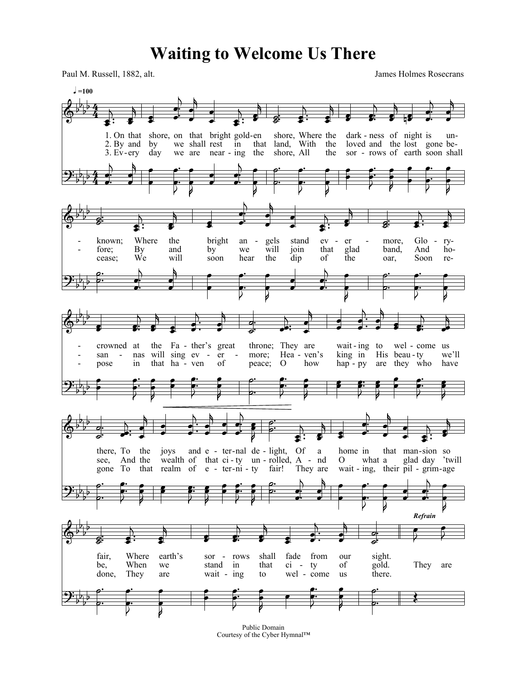## **Waiting to Welcome Us There**

Paul M. Russell, 1882, alt. James Holmes Rosecrans



Public Domain Courtesy of the Cyber Hymnal™